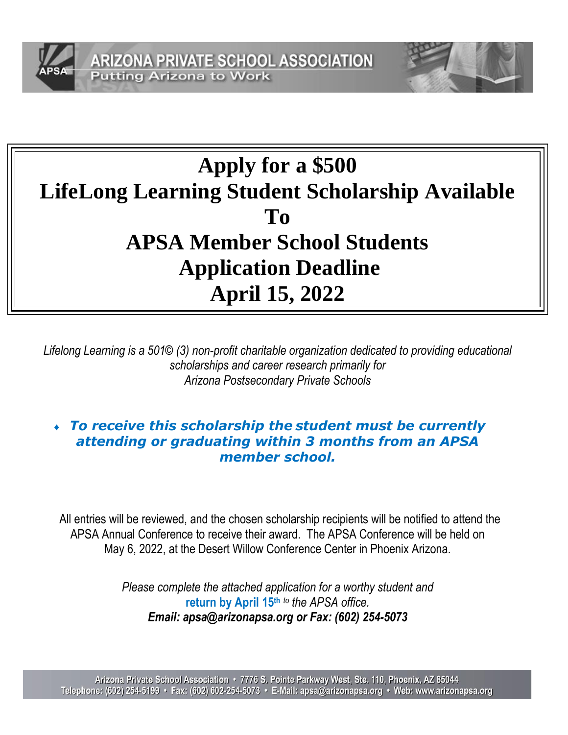



# **Apply for a \$500 LifeLong Learning Student Scholarship Available To APSA Member School Students Application Deadline April 15, 2022**

*Lifelong Learning is a 501© (3) non-profit charitable organization dedicated to providing educational scholarships and career research primarily for Arizona Postsecondary Private Schools*

### *To receive this scholarship the student must be currently attending or graduating within 3 months from an APSA member school.*

All entries will be reviewed, and the chosen scholarship recipients will be notified to attend the APSA Annual Conference to receive their award. The APSA Conference will be held on May 6, 2022, at the Desert Willow Conference Center in Phoenix Arizona.

> *Please complete the attached application for a worthy student and*  **return by April 15th** *to the APSA office. Email: apsa@arizonapsa.org or Fax: (602) 254-5073*